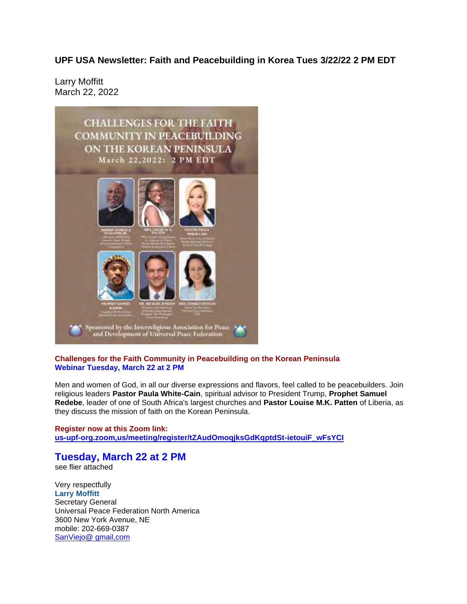**UPF USA Newsletter: Faith and Peacebuilding in Korea Tues 3/22/22 2 PM EDT**

Larry Moffitt March 22, 2022



## **Challenges for the Faith Community in Peacebuilding on the Korean Peninsula Webinar Tuesday, March 22 at 2 PM**

Men and women of God, in all our diverse expressions and flavors, feel called to be peacebuilders. Join religious leaders **Pastor Paula White-Cain**, spiritual advisor to President Trump, **Prophet Samuel Redebe**, leader of one of South Africa's largest churches and **Pastor Louise M.K. Patten** of Liberia, as they discuss the mission of faith on the Korean Peninsula.

**Register now at this Zoom link: us-upf-org.zoom,us/meeting/register/tZAudOmoqjksGdKqptdSt-ietouiF\_wFsYCI**

## **Tuesday, March 22 at 2 PM** see flier attached

Very respectfully **Larry Moffitt** Secretary General Universal Peace Federation North America 3600 New York Avenue, NE mobile: 202-669-0387 SanViejo@ gmail,com